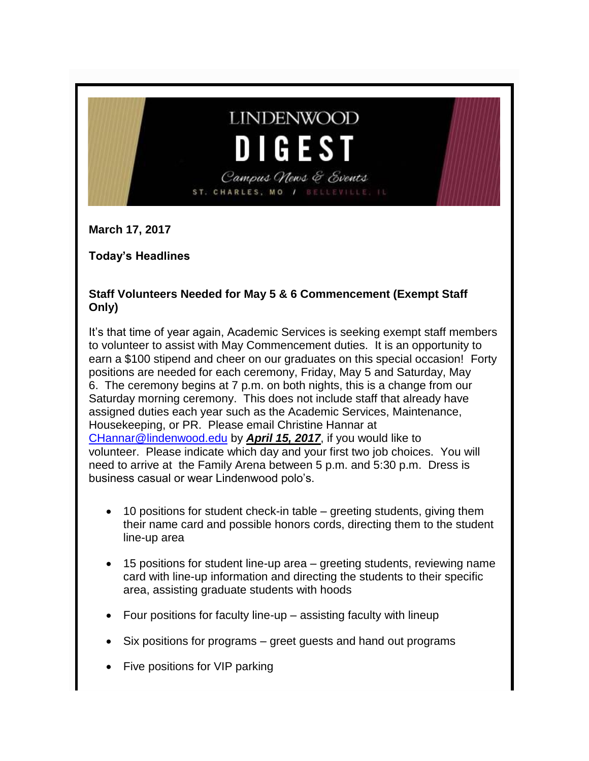# **LINDENWOOD** DIGES<sup>®</sup>

Campus News & Events ST. CHARLES, MO / BELLEVILLE,

**March 17, 2017**

**Today's Headlines**

#### **Staff Volunteers Needed for May 5 & 6 Commencement (Exempt Staff Only)**

It's that time of year again, Academic Services is seeking exempt staff members to volunteer to assist with May Commencement duties. It is an opportunity to earn a \$100 stipend and cheer on our graduates on this special occasion! Forty positions are needed for each ceremony, Friday, May 5 and Saturday, May 6. The ceremony begins at 7 p.m. on both nights, this is a change from our Saturday morning ceremony. This does not include staff that already have assigned duties each year such as the Academic Services, Maintenance, Housekeeping, or PR. Please email Christine Hannar at [CHannar@lindenwood.edu](mailto:CHannar@lindenwood.edu) by *April 15, 2017*, if you would like to volunteer. Please indicate which day and your first two job choices. You will need to arrive at the Family Arena between 5 p.m. and 5:30 p.m. Dress is business casual or wear Lindenwood polo's.

- 10 positions for student check-in table greeting students, giving them their name card and possible honors cords, directing them to the student line-up area
- 15 positions for student line-up area greeting students, reviewing name card with line-up information and directing the students to their specific area, assisting graduate students with hoods
- Four positions for faculty line-up assisting faculty with lineup
- Six positions for programs greet guests and hand out programs
- Five positions for VIP parking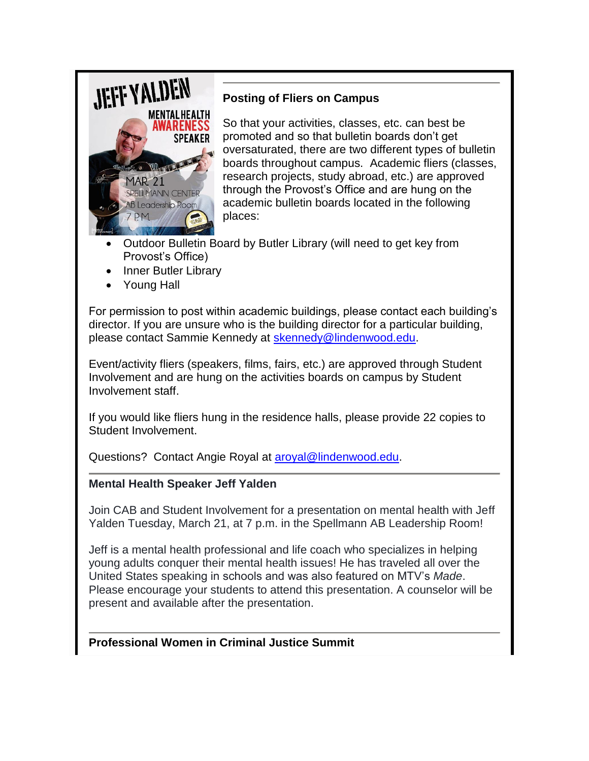

# **Posting of Fliers on Campus**

So that your activities, classes, etc. can best be promoted and so that bulletin boards don't get oversaturated, there are two different types of bulletin boards throughout campus. Academic fliers (classes, research projects, study abroad, etc.) are approved through the Provost's Office and are hung on the academic bulletin boards located in the following places:

- Outdoor Bulletin Board by Butler Library (will need to get key from Provost's Office)
- Inner Butler Library
- Young Hall

For permission to post within academic buildings, please contact each building's director. If you are unsure who is the building director for a particular building, please contact Sammie Kennedy at [skennedy@lindenwood.edu.](mailto:skennedy@lindenwood.edu)

Event/activity fliers (speakers, films, fairs, etc.) are approved through Student Involvement and are hung on the activities boards on campus by Student Involvement staff.

If you would like fliers hung in the residence halls, please provide 22 copies to Student Involvement.

Questions? Contact Angie Royal at [aroyal@lindenwood.edu.](mailto:aroyal@lindenwood.edu)

#### **Mental Health Speaker Jeff Yalden**

Join CAB and Student Involvement for a presentation on mental health with Jeff Yalden Tuesday, March 21, at 7 p.m. in the Spellmann AB Leadership Room!

Jeff is a mental health professional and life coach who specializes in helping young adults conquer their mental health issues! He has traveled all over the United States speaking in schools and was also featured on MTV's *Made*. Please encourage your students to attend this presentation. A counselor will be present and available after the presentation.

#### **Professional Women in Criminal Justice Summit**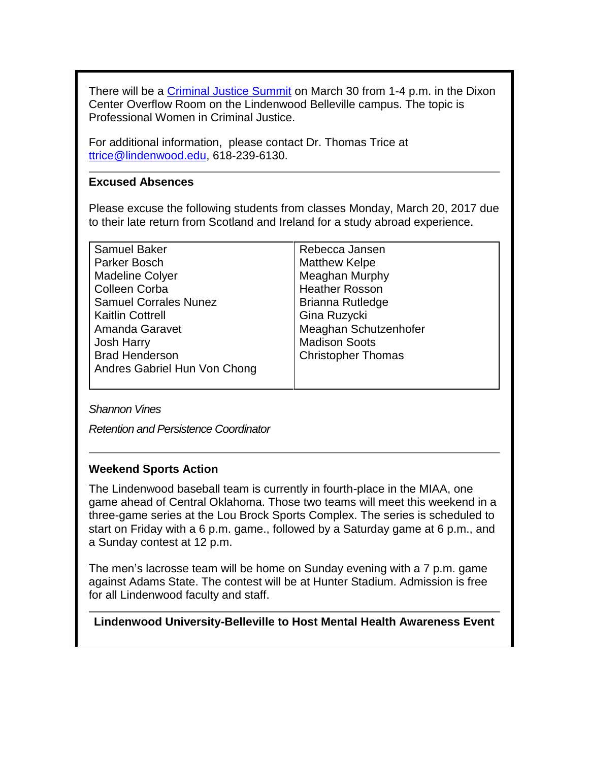There will be a [Criminal Justice Summit](http://felix.lindenwood.edu/newsletter/2017_03/cj_summit.pdf) on March 30 from 1-4 p.m. in the Dixon Center Overflow Room on the Lindenwood Belleville campus. The topic is Professional Women in Criminal Justice.

For additional information, please contact Dr. Thomas Trice at [ttrice@lindenwood.edu,](mailto:ttrice@lindenwood.edu) 618-239-6130.

#### **Excused Absences**

Please excuse the following students from classes Monday, March 20, 2017 due to their late return from Scotland and Ireland for a study abroad experience.

| <b>Samuel Baker</b>          | Rebecca Jansen            |
|------------------------------|---------------------------|
| Parker Bosch                 | <b>Matthew Kelpe</b>      |
| <b>Madeline Colyer</b>       | Meaghan Murphy            |
| <b>Colleen Corba</b>         | <b>Heather Rosson</b>     |
| <b>Samuel Corrales Nunez</b> | <b>Brianna Rutledge</b>   |
| <b>Kaitlin Cottrell</b>      | Gina Ruzycki              |
| Amanda Garavet               | Meaghan Schutzenhofer     |
| <b>Josh Harry</b>            | <b>Madison Soots</b>      |
| <b>Brad Henderson</b>        | <b>Christopher Thomas</b> |
| Andres Gabriel Hun Von Chong |                           |
|                              |                           |

*Shannon Vines*

*Retention and Persistence Coordinator*

#### **Weekend Sports Action**

The Lindenwood baseball team is currently in fourth-place in the MIAA, one game ahead of Central Oklahoma. Those two teams will meet this weekend in a three-game series at the Lou Brock Sports Complex. The series is scheduled to start on Friday with a 6 p.m. game., followed by a Saturday game at 6 p.m., and a Sunday contest at 12 p.m.

The men's lacrosse team will be home on Sunday evening with a 7 p.m. game against Adams State. The contest will be at Hunter Stadium. Admission is free for all Lindenwood faculty and staff.

**Lindenwood University-Belleville to Host Mental Health Awareness Event**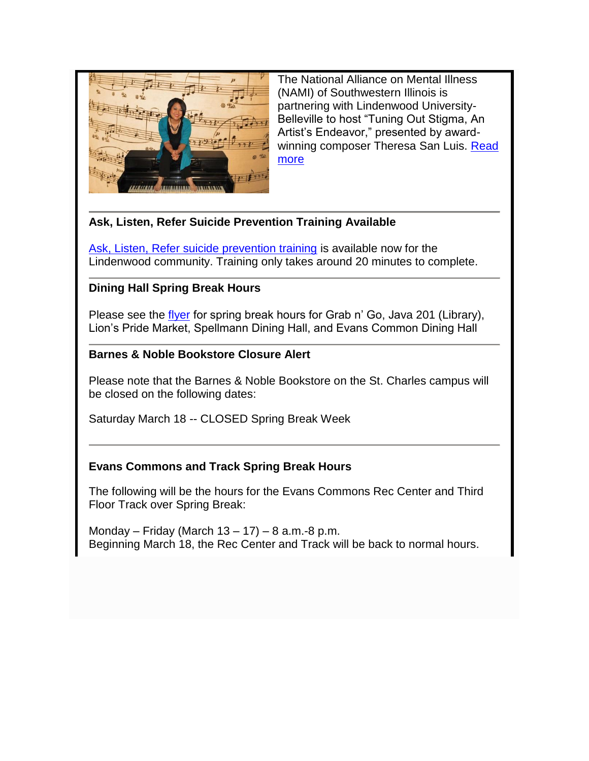

The National Alliance on Mental Illness (NAMI) of Southwestern Illinois is partnering with Lindenwood University-Belleville to host "Tuning Out Stigma, An Artist's Endeavor," presented by awardwinning composer Theresa San Luis. Read [more](http://www.lindenwood.edu/belleville/about/news/details/lindenwood-university-belleville-to-host-mental-health-awareness-event/)

# **Ask, Listen, Refer Suicide Prevention Training Available**

[Ask, Listen, Refer suicide prevention training](http://www.asklistenrefer.org/lwood) is available now for the Lindenwood community. Training only takes around 20 minutes to complete.

# **Dining Hall Spring Break Hours**

Please see the [flyer](http://felix.lindenwood.edu/newsletter/2017_03/diningspringbreakhours.pdf) for spring break hours for Grab n' Go, Java 201 (Library), Lion's Pride Market, Spellmann Dining Hall, and Evans Common Dining Hall

# **Barnes & Noble Bookstore Closure Alert**

Please note that the Barnes & Noble Bookstore on the St. Charles campus will be closed on the following dates:

Saturday March 18 -- CLOSED Spring Break Week

# **Evans Commons and Track Spring Break Hours**

The following will be the hours for the Evans Commons Rec Center and Third Floor Track over Spring Break:

Monday – Friday (March 13 – 17) – 8 a.m.-8 p.m. Beginning March 18, the Rec Center and Track will be back to normal hours.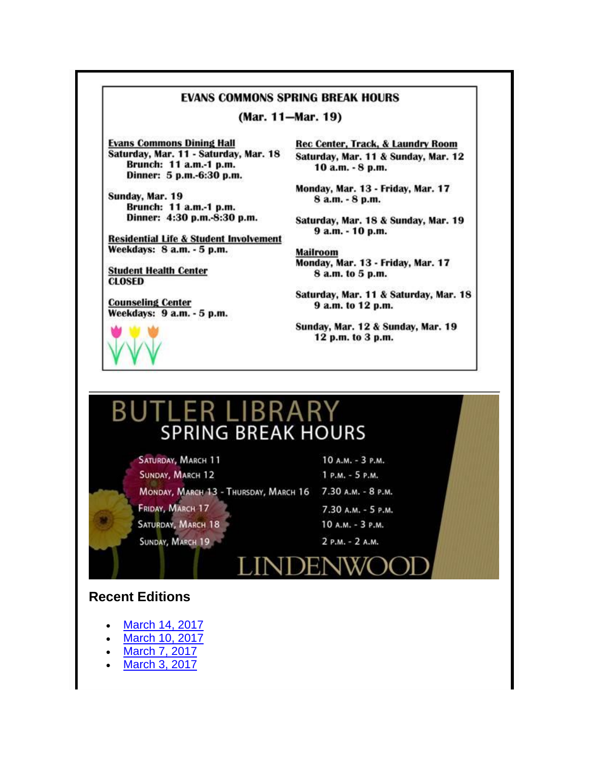#### **EVANS COMMONS SPRING BREAK HOURS**

(Mar. 11-Mar. 19)

**Evans Commons Dining Hall** Saturday, Mar. 11 - Saturday, Mar. 18 Brunch: 11 a.m.-1 p.m. Dinner: 5 p.m.-6:30 p.m.

Sunday, Mar. 19 Brunch: 11 a.m.-1 p.m. Dinner: 4:30 p.m.-8:30 p.m.

**Residential Life & Student Involvement** Weekdays: 8 a.m. - 5 p.m.

**Student Health Center CLOSED** 

**Counseling Center** Weekdays: 9 a.m. - 5 p.m.

Rec Center, Track, & Laundry Room Saturday, Mar. 11 & Sunday, Mar. 12 10 a.m. - 8 p.m.

Monday, Mar. 13 - Friday, Mar. 17 8 a.m. - 8 p.m.

Saturday, Mar. 18 & Sunday, Mar. 19 9 a.m. - 10 p.m.

**Mailroom** Monday, Mar. 13 - Friday, Mar. 17 8 a.m. to 5 p.m.

Saturday, Mar. 11 & Saturday, Mar. 18 9 a.m. to 12 p.m.

Sunday, Mar. 12 & Sunday, Mar. 19 12 p.m. to 3 p.m.

# BUTLER LIBRARY **SPRING BREAK HOURS**

SATURDAY, MARCH 11 SUNDAY, MARCH 12 Монdау, Мавен 13 - Тнивзdау, Мавен 16 7.30 А.м. - 8 р.м. ERIDAY, MARCH 17 SATURDAY, MARCH 18 SUNDAY, MARCH 19

10 A.M. - 3 P.M. 1 P.M. - 5 P.M. 7.30 А.М. - 5 Р.М. 10 A.M. - 3 P.M. 2 P.M. - 2 A.M.



#### **Recent Editions**

- [March 14, 2017](http://felix.lindenwood.edu/newsletter/digest/2017_03/2017_03_14.pdf)
- [March 10, 2017](http://felix.lindenwood.edu/newsletter/digest/2017_03/2017_03_10.pdf)
- [March 7, 2017](http://felix.lindenwood.edu/newsletter/digest/2017_03/2017_03_07.pdf)
- [March 3, 2017](http://felix.lindenwood.edu/newsletter/digest/2017_03/2017_03_03.pdf)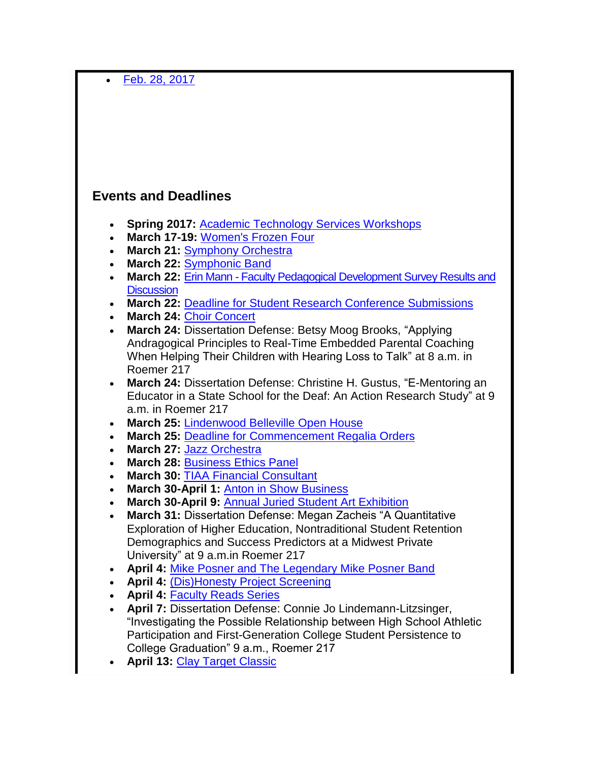[Feb. 28, 2017](http://felix.lindenwood.edu/newsletter/digest/2017_02/digest_2017_02_28.pdf)

# **Events and Deadlines**

- **Spring 2017:** [Academic Technology Services Workshops](http://felix.lindenwood.edu/newsletter/2017_01/spring2017workshops.pdf)
- **March 17-19:** [Women's Frozen Four](https://stlsports.org/special-event/2017-ncaa-womens-frozen-four/)
- **March 21:** [Symphony Orchestra](http://www.lindenwood.edu/j-scheidegger-center-for-the-arts/upcoming-events/music/)
- **March 22:** [Symphonic Band](http://www.lindenwood.edu/j-scheidegger-center-for-the-arts/upcoming-events/music/)
- **March 22:** Erin Mann [Faculty Pedagogical Development Survey Results and](http://felix.lindenwood.edu/newsletter/2017_03/assessment_03_07.pdf)  **[Discussion](http://felix.lindenwood.edu/newsletter/2017_03/assessment_03_07.pdf)**
- **March 22:** [Deadline for Student Research Conference Submissions](http://www.lindenwood.edu/academics/beyond-the-classroom/student-research/)
- **March 24:** [Choir Concert](http://www.lindenwood.edu/j-scheidegger-center-for-the-arts/upcoming-events/music/)
- **March 24:** Dissertation Defense: Betsy Moog Brooks, "Applying Andragogical Principles to Real-Time Embedded Parental Coaching When Helping Their Children with Hearing Loss to Talk" at 8 a.m. in Roemer 217
- **March 24:** Dissertation Defense: Christine H. Gustus, "E-Mentoring an Educator in a State School for the Deaf: An Action Research Study" at 9 a.m. in Roemer 217
- **March 25:** [Lindenwood Belleville Open House](http://www.lindenwood.edu/belleville/admissions/undergraduate-admissions/open-house/)
- **March 25:** [Deadline for Commencement Regalia Orders](https://facultydirect.herffjones.com/)
- **March 27:** [Jazz Orchestra](http://www.lindenwood.edu/j-scheidegger-center-for-the-arts/upcoming-events/music/)
- **March 28:** [Business Ethics Panel](http://felix.lindenwood.edu/newsletter/2017_03/businessethicspanel.pdf)
- **March 30:** [TIAA Financial Consultant](http://felix.lindenwood.edu/newsletter/2017_03/tiaa.pdf)
- **March 30-April 1:** [Anton in Show Business](http://www.lindenwood.edu/j-scheidegger-center-for-the-arts/upcoming-events/university-theater/anton-in-show-business-march-30-april-1-6-8/)
- **March 30-April 9:** [Annual Juried Student Art Exhibition](http://www.lindenwood.edu/j-scheidegger-center-for-the-arts/upcoming-events/art-exhibits/)
- **March 31:** Dissertation Defense: Megan Zacheis "A Quantitative Exploration of Higher Education, Nontraditional Student Retention Demographics and Success Predictors at a Midwest Private University" at 9 a.m.in Roemer 217
- **April 4:** [Mike Posner and The Legendary Mike Posner Band](http://www.lindenwood.edu/about/events/details/mike-posner-the-legendary-mike-posner-band/2017-04-04/)
- **April 4:** [\(Dis\)Honesty Project Screening](http://www.lindenwood.edu/academics/centers-institutes/the-hammond-institute/events-2/)
- **April 4:** [Faculty Reads Series](http://felix.lindenwood.edu/newsletter/2017_03/facultyreads.pdf)
- **April 7:** Dissertation Defense: Connie Jo Lindemann-Litzsinger, "Investigating the Possible Relationship between High School Athletic Participation and First-Generation College Student Persistence to College Graduation" 9 a.m., Roemer 217
- **April 13:** [Clay Target Classic](http://felix.lindenwood.edu/newsletter/2017_03/clay_target_classic.pdf)